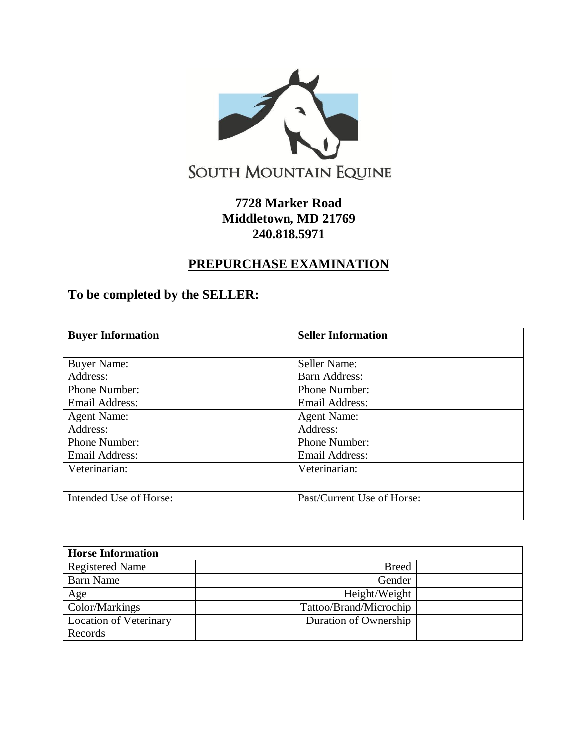

## **7728 Marker Road Middletown, MD 21769 240.818.5971**

## **PREPURCHASE EXAMINATION**

## **To be completed by the SELLER:**

| <b>Buyer Information</b> | <b>Seller Information</b>  |  |  |  |
|--------------------------|----------------------------|--|--|--|
|                          |                            |  |  |  |
| <b>Buyer Name:</b>       | Seller Name:               |  |  |  |
| Address:                 | Barn Address:              |  |  |  |
| Phone Number:            | Phone Number:              |  |  |  |
| Email Address:           | <b>Email Address:</b>      |  |  |  |
| <b>Agent Name:</b>       | <b>Agent Name:</b>         |  |  |  |
| Address:                 | Address:                   |  |  |  |
| Phone Number:            | Phone Number:              |  |  |  |
| Email Address:           | <b>Email Address:</b>      |  |  |  |
| Veterinarian:            | Veterinarian:              |  |  |  |
|                          |                            |  |  |  |
| Intended Use of Horse:   | Past/Current Use of Horse: |  |  |  |
|                          |                            |  |  |  |

| <b>Horse Information</b>      |                        |  |
|-------------------------------|------------------------|--|
| <b>Registered Name</b>        | <b>Breed</b>           |  |
| <b>Barn Name</b>              | Gender                 |  |
| Age                           | Height/Weight          |  |
| Color/Markings                | Tattoo/Brand/Microchip |  |
| <b>Location of Veterinary</b> | Duration of Ownership  |  |
| Records                       |                        |  |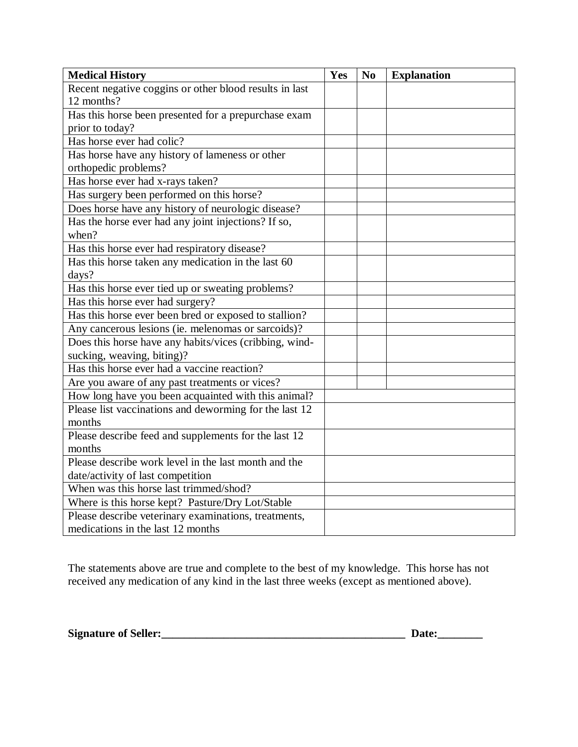| <b>Medical History</b>                                 | Yes | N <sub>0</sub> | <b>Explanation</b> |
|--------------------------------------------------------|-----|----------------|--------------------|
| Recent negative coggins or other blood results in last |     |                |                    |
| 12 months?                                             |     |                |                    |
| Has this horse been presented for a prepurchase exam   |     |                |                    |
| prior to today?                                        |     |                |                    |
| Has horse ever had colic?                              |     |                |                    |
| Has horse have any history of lameness or other        |     |                |                    |
| orthopedic problems?                                   |     |                |                    |
| Has horse ever had x-rays taken?                       |     |                |                    |
| Has surgery been performed on this horse?              |     |                |                    |
| Does horse have any history of neurologic disease?     |     |                |                    |
| Has the horse ever had any joint injections? If so,    |     |                |                    |
| when?                                                  |     |                |                    |
| Has this horse ever had respiratory disease?           |     |                |                    |
| Has this horse taken any medication in the last 60     |     |                |                    |
| days?                                                  |     |                |                    |
| Has this horse ever tied up or sweating problems?      |     |                |                    |
| Has this horse ever had surgery?                       |     |                |                    |
| Has this horse ever been bred or exposed to stallion?  |     |                |                    |
| Any cancerous lesions (ie. melenomas or sarcoids)?     |     |                |                    |
| Does this horse have any habits/vices (cribbing, wind- |     |                |                    |
| sucking, weaving, biting)?                             |     |                |                    |
| Has this horse ever had a vaccine reaction?            |     |                |                    |
| Are you aware of any past treatments or vices?         |     |                |                    |
| How long have you been acquainted with this animal?    |     |                |                    |
| Please list vaccinations and deworming for the last 12 |     |                |                    |
| months                                                 |     |                |                    |
| Please describe feed and supplements for the last 12   |     |                |                    |
| months                                                 |     |                |                    |
| Please describe work level in the last month and the   |     |                |                    |
| date/activity of last competition                      |     |                |                    |
| When was this horse last trimmed/shod?                 |     |                |                    |
| Where is this horse kept? Pasture/Dry Lot/Stable       |     |                |                    |
| Please describe veterinary examinations, treatments,   |     |                |                    |
| medications in the last 12 months                      |     |                |                    |

The statements above are true and complete to the best of my knowledge. This horse has not received any medication of any kind in the last three weeks (except as mentioned above).

**Signature of Seller:\_\_\_\_\_\_\_\_\_\_\_\_\_\_\_\_\_\_\_\_\_\_\_\_\_\_\_\_\_\_\_\_\_\_\_\_\_\_\_\_\_\_\_ Date:\_\_\_\_\_\_\_\_**